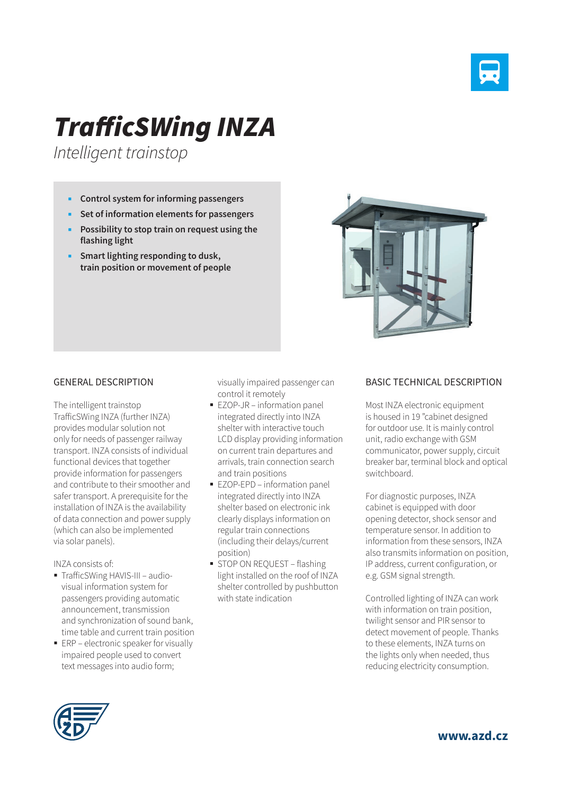

## *TrafficSWing INZA*

*Intelligent trainstop*

- **Control system for informing passengers**
- **Set of information elements for passengers**
- **Possibility to stop train on request using the flashing light**
- **Smart lighting responding to dusk, train position or movement of people**



## GENERAL DESCRIPTION

The intelligent trainstop TrafficSWing INZA (further INZA) provides modular solution not only for needs of passenger railway transport. INZA consists of individual functional devices that together provide information for passengers and contribute to their smoother and safer transport. A prerequisite for the installation of INZA is the availability of data connection and power supply (which can also be implemented via solar panels).

INZA consists of:

- TrafficSWing HAVIS-III audiovisual information system for passengers providing automatic announcement, transmission and synchronization of sound bank, time table and current train position
- **ERP** electronic speaker for visually impaired people used to convert text messages into audio form;

visually impaired passenger can control it remotely

- EZOP-JR information panel integrated directly into INZA shelter with interactive touch LCD display providing information on current train departures and arrivals, train connection search and train positions
- EZOP-EPD information panel integrated directly into INZA shelter based on electronic ink clearly displays information on regular train connections (including their delays/current position)
- **STOP ON REQUEST flashing** light installed on the roof of INZA shelter controlled by pushbutton with state indication

## BASIC TECHNICAL DESCRIPTION

Most INZA electronic equipment is housed in 19 "cabinet designed for outdoor use. It is mainly control unit, radio exchange with GSM communicator, power supply, circuit breaker bar, terminal block and optical switchboard.

For diagnostic purposes, INZA cabinet is equipped with door opening detector, shock sensor and temperature sensor. In addition to information from these sensors, INZA also transmits information on position, IP address, current configuration, or e.g. GSM signal strength.

Controlled lighting of INZA can work with information on train position, twilight sensor and PIR sensor to detect movement of people. Thanks to these elements, INZA turns on the lights only when needed, thus reducing electricity consumption.